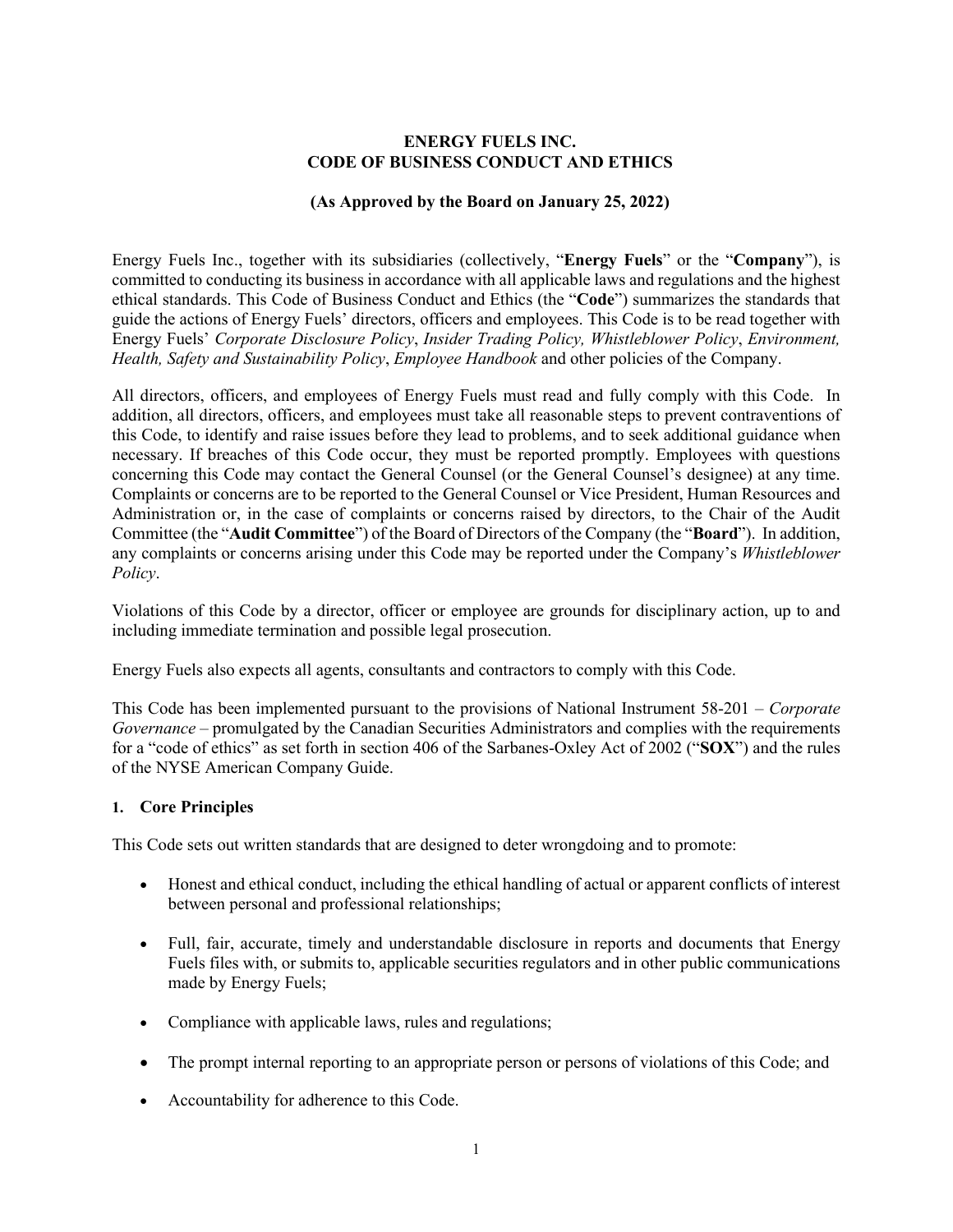### **ENERGY FUELS INC. CODE OF BUSINESS CONDUCT AND ETHICS**

### **(As Approved by the Board on January 25, 2022)**

Energy Fuels Inc., together with its subsidiaries (collectively, "**Energy Fuels**" or the "**Company**"), is committed to conducting its business in accordance with all applicable laws and regulations and the highest ethical standards. This Code of Business Conduct and Ethics (the "**Code**") summarizes the standards that guide the actions of Energy Fuels' directors, officers and employees. This Code is to be read together with Energy Fuels' *Corporate Disclosure Policy*, *Insider Trading Policy, Whistleblower Policy*, *Environment, Health, Safety and Sustainability Policy*, *Employee Handbook* and other policies of the Company.

All directors, officers, and employees of Energy Fuels must read and fully comply with this Code. In addition, all directors, officers, and employees must take all reasonable steps to prevent contraventions of this Code, to identify and raise issues before they lead to problems, and to seek additional guidance when necessary. If breaches of this Code occur, they must be reported promptly. Employees with questions concerning this Code may contact the General Counsel (or the General Counsel's designee) at any time. Complaints or concerns are to be reported to the General Counsel or Vice President, Human Resources and Administration or, in the case of complaints or concerns raised by directors, to the Chair of the Audit Committee (the "**Audit Committee**") of the Board of Directors of the Company (the "**Board**"). In addition, any complaints or concerns arising under this Code may be reported under the Company's *Whistleblower Policy*.

Violations of this Code by a director, officer or employee are grounds for disciplinary action, up to and including immediate termination and possible legal prosecution.

Energy Fuels also expects all agents, consultants and contractors to comply with this Code.

This Code has been implemented pursuant to the provisions of National Instrument 58-201 – *Corporate Governance* – promulgated by the Canadian Securities Administrators and complies with the requirements for a "code of ethics" as set forth in section 406 of the Sarbanes-Oxley Act of 2002 ("**SOX**") and the rules of the NYSE American Company Guide.

### **1. Core Principles**

This Code sets out written standards that are designed to deter wrongdoing and to promote:

- Honest and ethical conduct, including the ethical handling of actual or apparent conflicts of interest between personal and professional relationships;
- Full, fair, accurate, timely and understandable disclosure in reports and documents that Energy Fuels files with, or submits to, applicable securities regulators and in other public communications made by Energy Fuels;
- Compliance with applicable laws, rules and regulations;
- The prompt internal reporting to an appropriate person or persons of violations of this Code; and
- Accountability for adherence to this Code.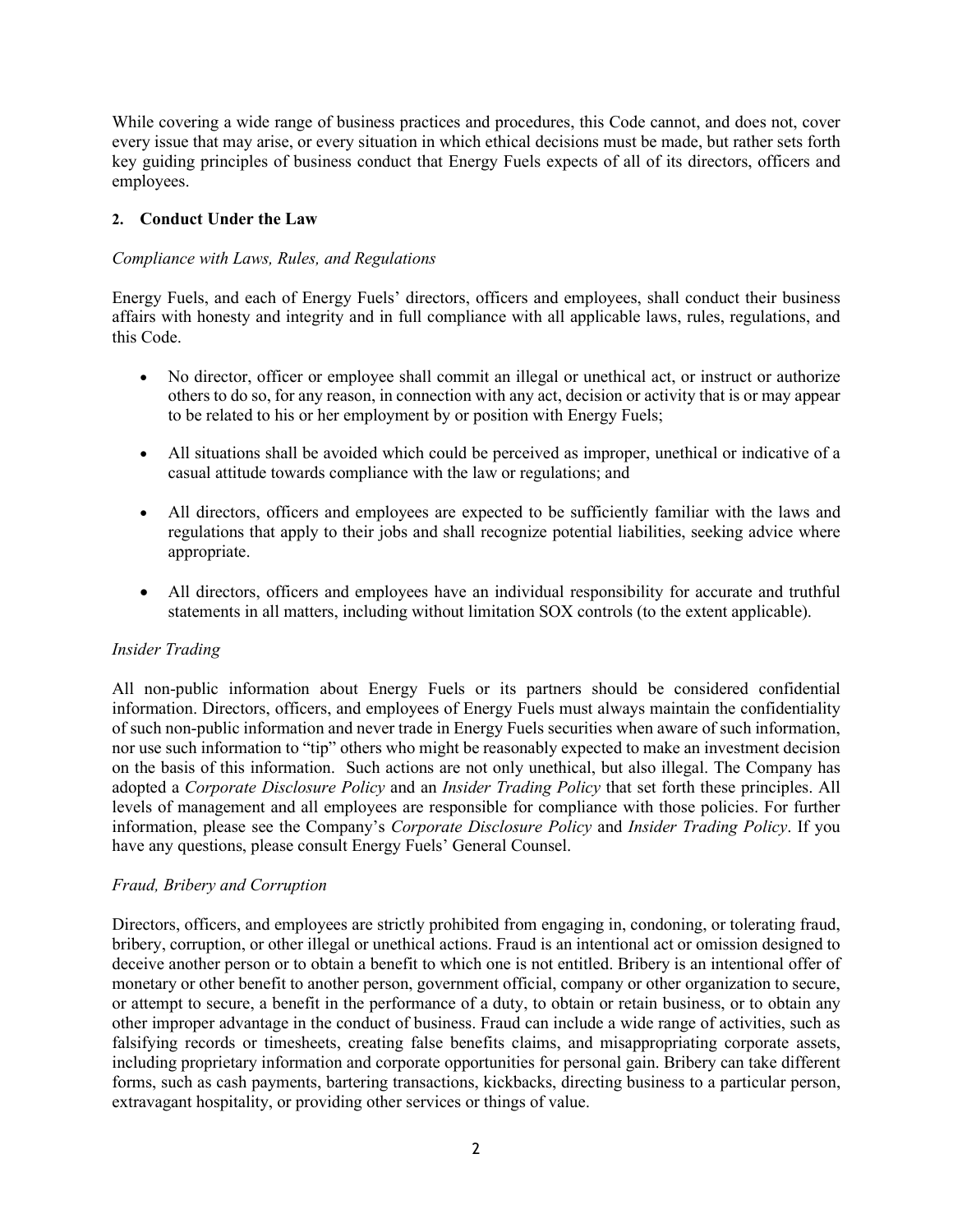While covering a wide range of business practices and procedures, this Code cannot, and does not, cover every issue that may arise, or every situation in which ethical decisions must be made, but rather sets forth key guiding principles of business conduct that Energy Fuels expects of all of its directors, officers and employees.

# **2. Conduct Under the Law**

# *Compliance with Laws, Rules, and Regulations*

Energy Fuels, and each of Energy Fuels' directors, officers and employees, shall conduct their business affairs with honesty and integrity and in full compliance with all applicable laws, rules, regulations, and this Code.

- No director, officer or employee shall commit an illegal or unethical act, or instruct or authorize others to do so, for any reason, in connection with any act, decision or activity that is or may appear to be related to his or her employment by or position with Energy Fuels;
- All situations shall be avoided which could be perceived as improper, unethical or indicative of a casual attitude towards compliance with the law or regulations; and
- All directors, officers and employees are expected to be sufficiently familiar with the laws and regulations that apply to their jobs and shall recognize potential liabilities, seeking advice where appropriate.
- All directors, officers and employees have an individual responsibility for accurate and truthful statements in all matters, including without limitation SOX controls (to the extent applicable).

### *Insider Trading*

All non-public information about Energy Fuels or its partners should be considered confidential information. Directors, officers, and employees of Energy Fuels must always maintain the confidentiality of such non-public information and never trade in Energy Fuels securities when aware of such information, nor use such information to "tip" others who might be reasonably expected to make an investment decision on the basis of this information. Such actions are not only unethical, but also illegal. The Company has adopted a *Corporate Disclosure Policy* and an *Insider Trading Policy* that set forth these principles. All levels of management and all employees are responsible for compliance with those policies. For further information, please see the Company's *Corporate Disclosure Policy* and *Insider Trading Policy*. If you have any questions, please consult Energy Fuels' General Counsel.

### *Fraud, Bribery and Corruption*

Directors, officers, and employees are strictly prohibited from engaging in, condoning, or tolerating fraud, bribery, corruption, or other illegal or unethical actions. Fraud is an intentional act or omission designed to deceive another person or to obtain a benefit to which one is not entitled. Bribery is an intentional offer of monetary or other benefit to another person, government official, company or other organization to secure, or attempt to secure, a benefit in the performance of a duty, to obtain or retain business, or to obtain any other improper advantage in the conduct of business. Fraud can include a wide range of activities, such as falsifying records or timesheets, creating false benefits claims, and misappropriating corporate assets, including proprietary information and corporate opportunities for personal gain. Bribery can take different forms, such as cash payments, bartering transactions, kickbacks, directing business to a particular person, extravagant hospitality, or providing other services or things of value.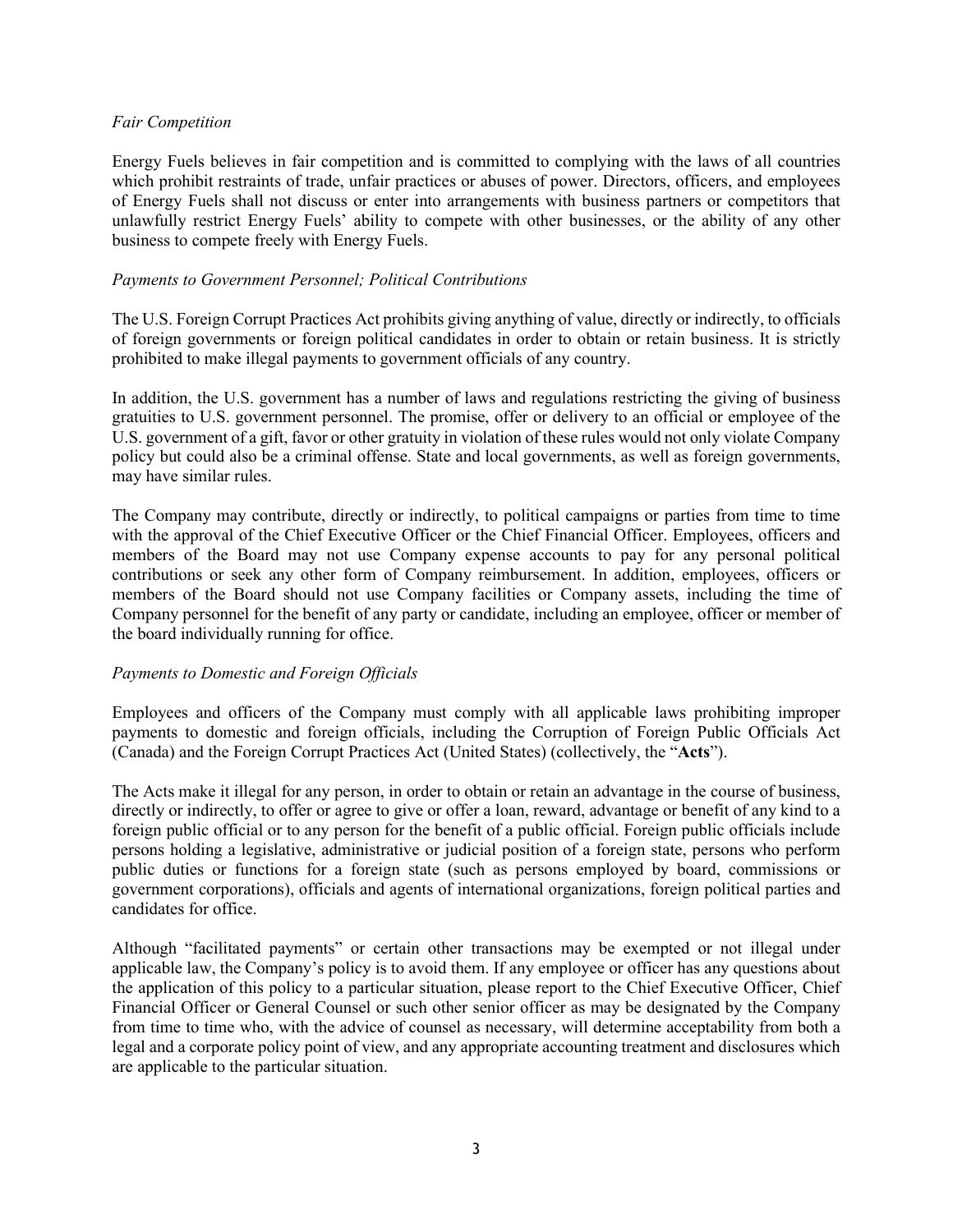#### *Fair Competition*

Energy Fuels believes in fair competition and is committed to complying with the laws of all countries which prohibit restraints of trade, unfair practices or abuses of power. Directors, officers, and employees of Energy Fuels shall not discuss or enter into arrangements with business partners or competitors that unlawfully restrict Energy Fuels' ability to compete with other businesses, or the ability of any other business to compete freely with Energy Fuels.

### *Payments to Government Personnel; Political Contributions*

The U.S. Foreign Corrupt Practices Act prohibits giving anything of value, directly or indirectly, to officials of foreign governments or foreign political candidates in order to obtain or retain business. It is strictly prohibited to make illegal payments to government officials of any country.

In addition, the U.S. government has a number of laws and regulations restricting the giving of business gratuities to U.S. government personnel. The promise, offer or delivery to an official or employee of the U.S. government of a gift, favor or other gratuity in violation of these rules would not only violate Company policy but could also be a criminal offense. State and local governments, as well as foreign governments, may have similar rules.

The Company may contribute, directly or indirectly, to political campaigns or parties from time to time with the approval of the Chief Executive Officer or the Chief Financial Officer. Employees, officers and members of the Board may not use Company expense accounts to pay for any personal political contributions or seek any other form of Company reimbursement. In addition, employees, officers or members of the Board should not use Company facilities or Company assets, including the time of Company personnel for the benefit of any party or candidate, including an employee, officer or member of the board individually running for office.

### *Payments to Domestic and Foreign Officials*

Employees and officers of the Company must comply with all applicable laws prohibiting improper payments to domestic and foreign officials, including the Corruption of Foreign Public Officials Act (Canada) and the Foreign Corrupt Practices Act (United States) (collectively, the "**Acts**").

The Acts make it illegal for any person, in order to obtain or retain an advantage in the course of business, directly or indirectly, to offer or agree to give or offer a loan, reward, advantage or benefit of any kind to a foreign public official or to any person for the benefit of a public official. Foreign public officials include persons holding a legislative, administrative or judicial position of a foreign state, persons who perform public duties or functions for a foreign state (such as persons employed by board, commissions or government corporations), officials and agents of international organizations, foreign political parties and candidates for office.

Although "facilitated payments" or certain other transactions may be exempted or not illegal under applicable law, the Company's policy is to avoid them. If any employee or officer has any questions about the application of this policy to a particular situation, please report to the Chief Executive Officer, Chief Financial Officer or General Counsel or such other senior officer as may be designated by the Company from time to time who, with the advice of counsel as necessary, will determine acceptability from both a legal and a corporate policy point of view, and any appropriate accounting treatment and disclosures which are applicable to the particular situation.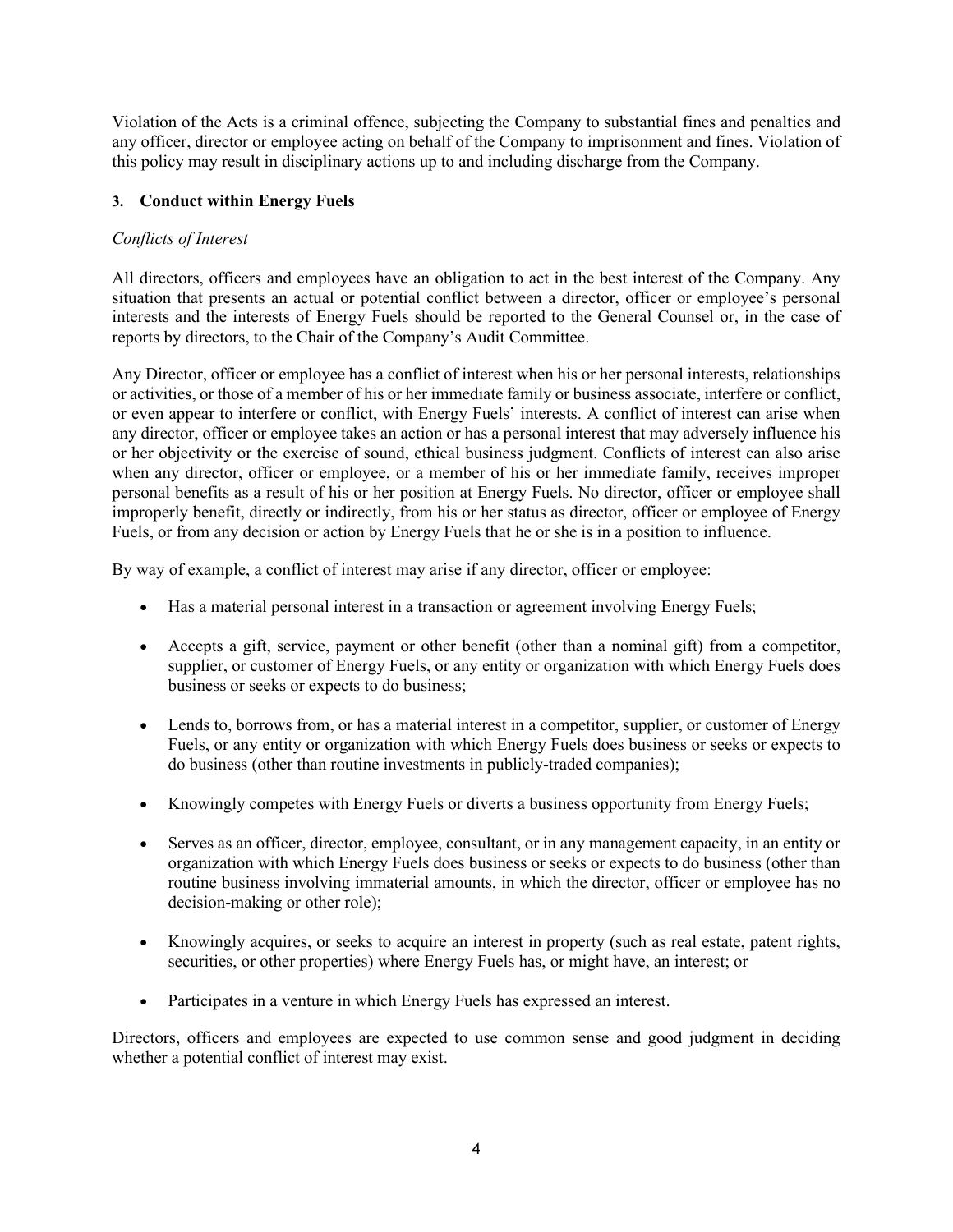Violation of the Acts is a criminal offence, subjecting the Company to substantial fines and penalties and any officer, director or employee acting on behalf of the Company to imprisonment and fines. Violation of this policy may result in disciplinary actions up to and including discharge from the Company.

# **3. Conduct within Energy Fuels**

# *Conflicts of Interest*

All directors, officers and employees have an obligation to act in the best interest of the Company. Any situation that presents an actual or potential conflict between a director, officer or employee's personal interests and the interests of Energy Fuels should be reported to the General Counsel or, in the case of reports by directors, to the Chair of the Company's Audit Committee.

Any Director, officer or employee has a conflict of interest when his or her personal interests, relationships or activities, or those of a member of his or her immediate family or business associate, interfere or conflict, or even appear to interfere or conflict, with Energy Fuels' interests. A conflict of interest can arise when any director, officer or employee takes an action or has a personal interest that may adversely influence his or her objectivity or the exercise of sound, ethical business judgment. Conflicts of interest can also arise when any director, officer or employee, or a member of his or her immediate family, receives improper personal benefits as a result of his or her position at Energy Fuels. No director, officer or employee shall improperly benefit, directly or indirectly, from his or her status as director, officer or employee of Energy Fuels, or from any decision or action by Energy Fuels that he or she is in a position to influence.

By way of example, a conflict of interest may arise if any director, officer or employee:

- Has a material personal interest in a transaction or agreement involving Energy Fuels;
- Accepts a gift, service, payment or other benefit (other than a nominal gift) from a competitor, supplier, or customer of Energy Fuels, or any entity or organization with which Energy Fuels does business or seeks or expects to do business;
- Lends to, borrows from, or has a material interest in a competitor, supplier, or customer of Energy Fuels, or any entity or organization with which Energy Fuels does business or seeks or expects to do business (other than routine investments in publicly-traded companies);
- Knowingly competes with Energy Fuels or diverts a business opportunity from Energy Fuels;
- Serves as an officer, director, employee, consultant, or in any management capacity, in an entity or organization with which Energy Fuels does business or seeks or expects to do business (other than routine business involving immaterial amounts, in which the director, officer or employee has no decision-making or other role);
- Knowingly acquires, or seeks to acquire an interest in property (such as real estate, patent rights, securities, or other properties) where Energy Fuels has, or might have, an interest; or
- Participates in a venture in which Energy Fuels has expressed an interest.

Directors, officers and employees are expected to use common sense and good judgment in deciding whether a potential conflict of interest may exist.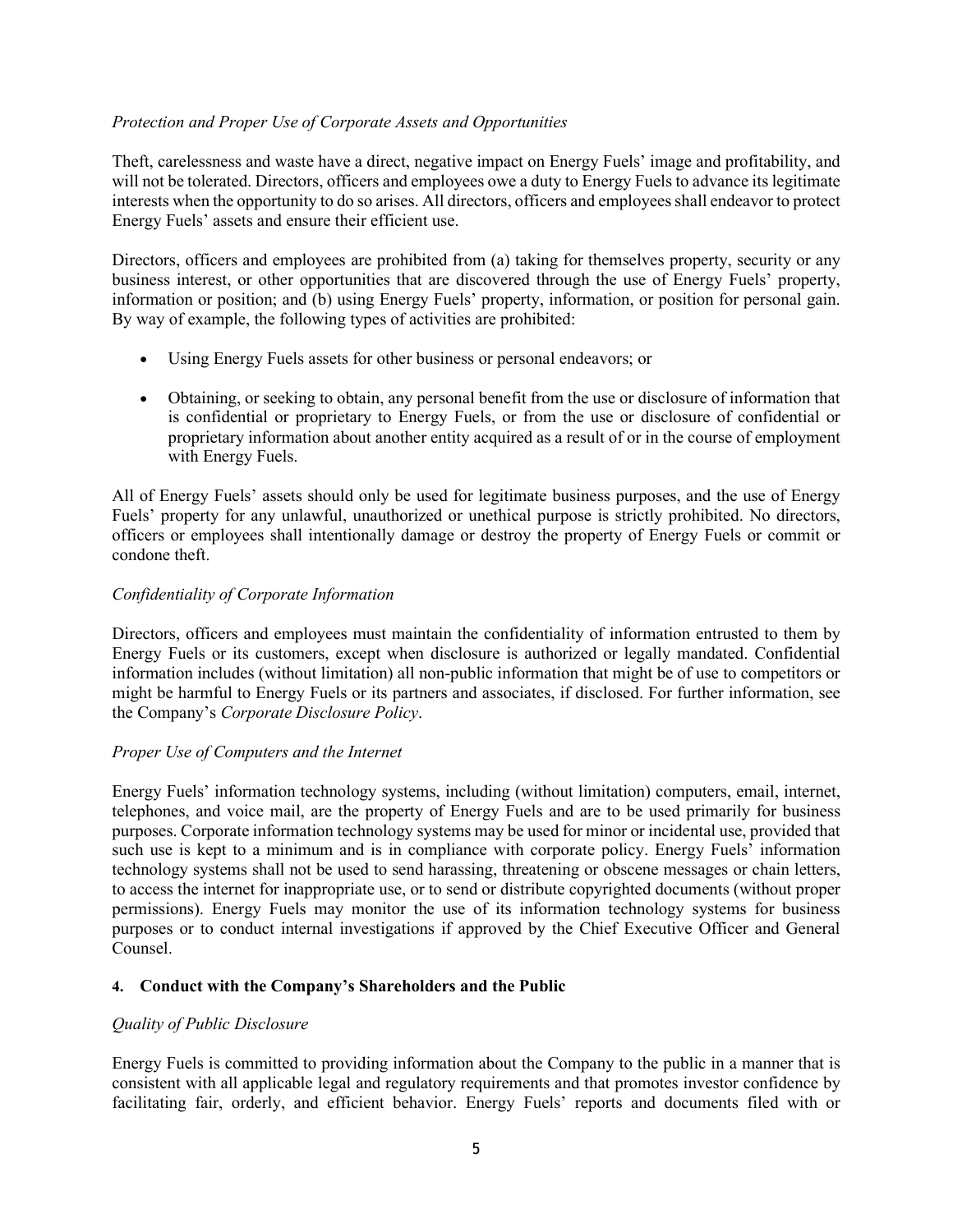### *Protection and Proper Use of Corporate Assets and Opportunities*

Theft, carelessness and waste have a direct, negative impact on Energy Fuels' image and profitability, and will not be tolerated. Directors, officers and employees owe a duty to Energy Fuels to advance its legitimate interests when the opportunity to do so arises. All directors, officers and employees shall endeavor to protect Energy Fuels' assets and ensure their efficient use.

Directors, officers and employees are prohibited from (a) taking for themselves property, security or any business interest, or other opportunities that are discovered through the use of Energy Fuels' property, information or position; and (b) using Energy Fuels' property, information, or position for personal gain. By way of example, the following types of activities are prohibited:

- Using Energy Fuels assets for other business or personal endeavors; or
- Obtaining, or seeking to obtain, any personal benefit from the use or disclosure of information that is confidential or proprietary to Energy Fuels, or from the use or disclosure of confidential or proprietary information about another entity acquired as a result of or in the course of employment with Energy Fuels.

All of Energy Fuels' assets should only be used for legitimate business purposes, and the use of Energy Fuels' property for any unlawful, unauthorized or unethical purpose is strictly prohibited. No directors, officers or employees shall intentionally damage or destroy the property of Energy Fuels or commit or condone theft.

# *Confidentiality of Corporate Information*

Directors, officers and employees must maintain the confidentiality of information entrusted to them by Energy Fuels or its customers, except when disclosure is authorized or legally mandated. Confidential information includes (without limitation) all non-public information that might be of use to competitors or might be harmful to Energy Fuels or its partners and associates, if disclosed. For further information, see the Company's *Corporate Disclosure Policy*.

### *Proper Use of Computers and the Internet*

Energy Fuels' information technology systems, including (without limitation) computers, email, internet, telephones, and voice mail, are the property of Energy Fuels and are to be used primarily for business purposes. Corporate information technology systems may be used for minor or incidental use, provided that such use is kept to a minimum and is in compliance with corporate policy. Energy Fuels' information technology systems shall not be used to send harassing, threatening or obscene messages or chain letters, to access the internet for inappropriate use, or to send or distribute copyrighted documents (without proper permissions). Energy Fuels may monitor the use of its information technology systems for business purposes or to conduct internal investigations if approved by the Chief Executive Officer and General Counsel.

### **4. Conduct with the Company's Shareholders and the Public**

### *Quality of Public Disclosure*

Energy Fuels is committed to providing information about the Company to the public in a manner that is consistent with all applicable legal and regulatory requirements and that promotes investor confidence by facilitating fair, orderly, and efficient behavior. Energy Fuels' reports and documents filed with or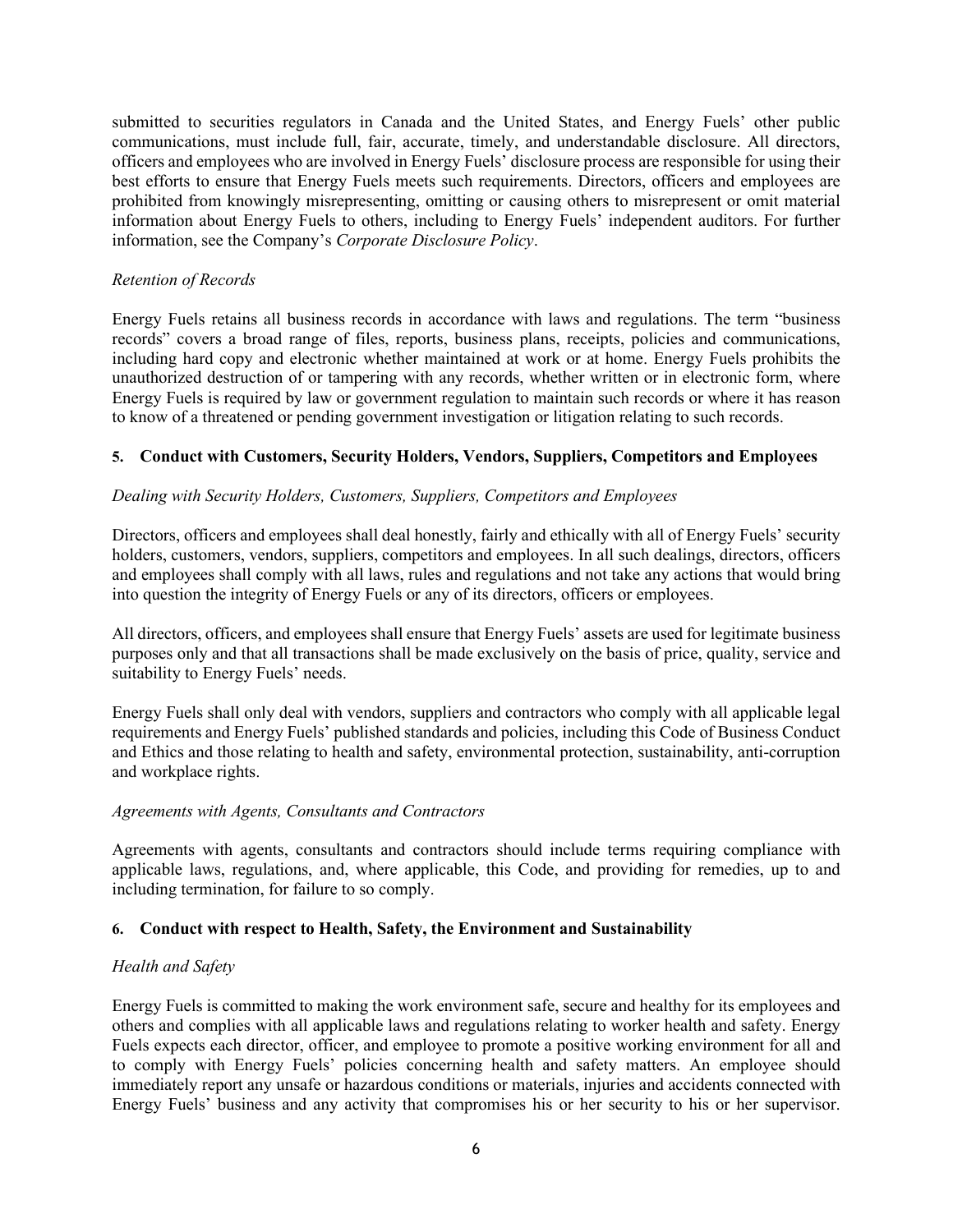submitted to securities regulators in Canada and the United States, and Energy Fuels' other public communications, must include full, fair, accurate, timely, and understandable disclosure. All directors, officers and employees who are involved in Energy Fuels' disclosure process are responsible for using their best efforts to ensure that Energy Fuels meets such requirements. Directors, officers and employees are prohibited from knowingly misrepresenting, omitting or causing others to misrepresent or omit material information about Energy Fuels to others, including to Energy Fuels' independent auditors. For further information, see the Company's *Corporate Disclosure Policy*.

# *Retention of Records*

Energy Fuels retains all business records in accordance with laws and regulations. The term "business records" covers a broad range of files, reports, business plans, receipts, policies and communications, including hard copy and electronic whether maintained at work or at home. Energy Fuels prohibits the unauthorized destruction of or tampering with any records, whether written or in electronic form, where Energy Fuels is required by law or government regulation to maintain such records or where it has reason to know of a threatened or pending government investigation or litigation relating to such records.

# **5. Conduct with Customers, Security Holders, Vendors, Suppliers, Competitors and Employees**

# *Dealing with Security Holders, Customers, Suppliers, Competitors and Employees*

Directors, officers and employees shall deal honestly, fairly and ethically with all of Energy Fuels' security holders, customers, vendors, suppliers, competitors and employees. In all such dealings, directors, officers and employees shall comply with all laws, rules and regulations and not take any actions that would bring into question the integrity of Energy Fuels or any of its directors, officers or employees.

All directors, officers, and employees shall ensure that Energy Fuels' assets are used for legitimate business purposes only and that all transactions shall be made exclusively on the basis of price, quality, service and suitability to Energy Fuels' needs.

Energy Fuels shall only deal with vendors, suppliers and contractors who comply with all applicable legal requirements and Energy Fuels' published standards and policies, including this Code of Business Conduct and Ethics and those relating to health and safety, environmental protection, sustainability, anti-corruption and workplace rights.

### *Agreements with Agents, Consultants and Contractors*

Agreements with agents, consultants and contractors should include terms requiring compliance with applicable laws, regulations, and, where applicable, this Code, and providing for remedies, up to and including termination, for failure to so comply.

### **6. Conduct with respect to Health, Safety, the Environment and Sustainability**

### *Health and Safety*

Energy Fuels is committed to making the work environment safe, secure and healthy for its employees and others and complies with all applicable laws and regulations relating to worker health and safety. Energy Fuels expects each director, officer, and employee to promote a positive working environment for all and to comply with Energy Fuels' policies concerning health and safety matters. An employee should immediately report any unsafe or hazardous conditions or materials, injuries and accidents connected with Energy Fuels' business and any activity that compromises his or her security to his or her supervisor.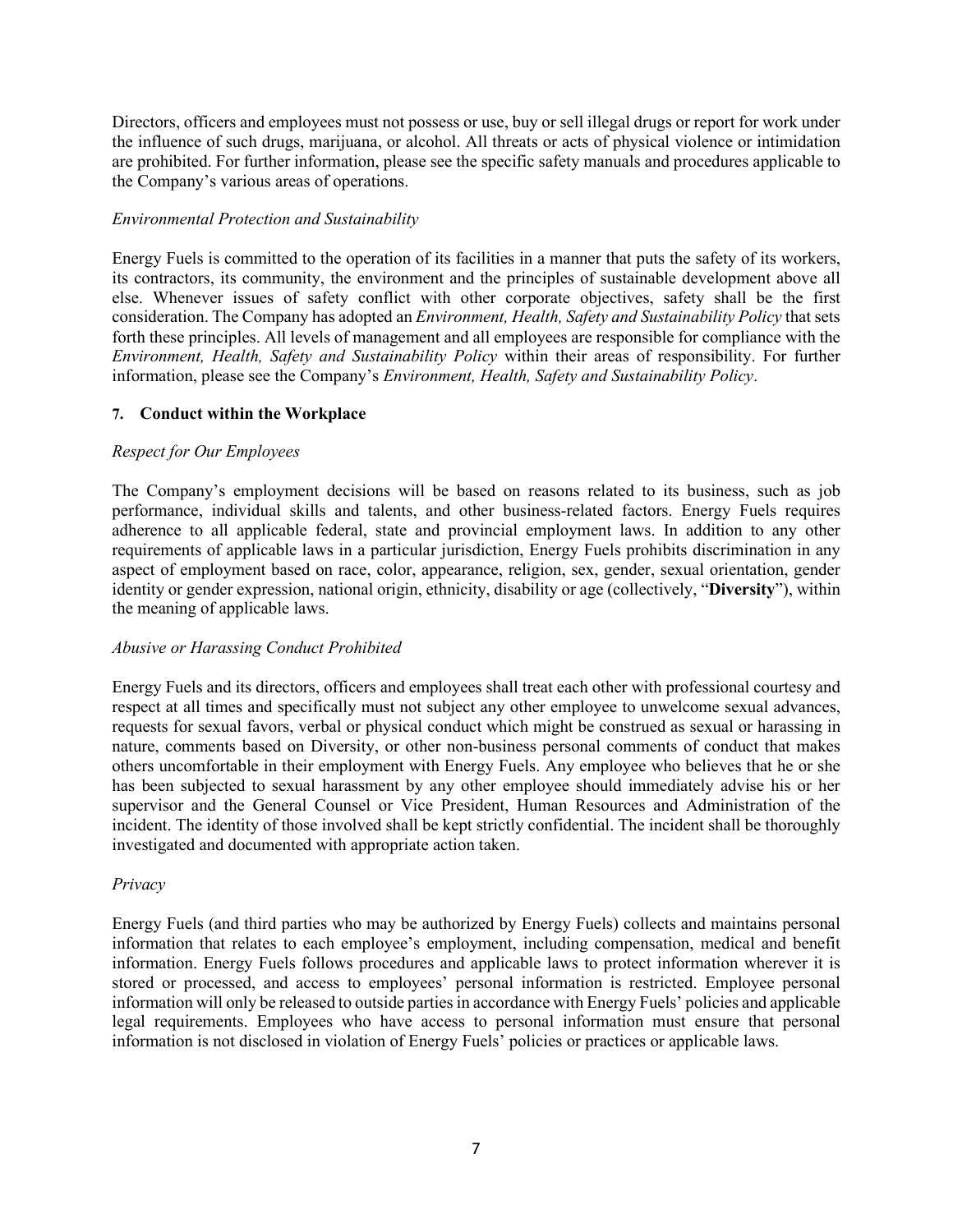Directors, officers and employees must not possess or use, buy or sell illegal drugs or report for work under the influence of such drugs, marijuana, or alcohol. All threats or acts of physical violence or intimidation are prohibited. For further information, please see the specific safety manuals and procedures applicable to the Company's various areas of operations.

### *Environmental Protection and Sustainability*

Energy Fuels is committed to the operation of its facilities in a manner that puts the safety of its workers, its contractors, its community, the environment and the principles of sustainable development above all else. Whenever issues of safety conflict with other corporate objectives, safety shall be the first consideration. The Company has adopted an *Environment, Health, Safety and Sustainability Policy* that sets forth these principles. All levels of management and all employees are responsible for compliance with the *Environment, Health, Safety and Sustainability Policy* within their areas of responsibility. For further information, please see the Company's *Environment, Health, Safety and Sustainability Policy*.

### **7. Conduct within the Workplace**

#### *Respect for Our Employees*

The Company's employment decisions will be based on reasons related to its business, such as job performance, individual skills and talents, and other business-related factors. Energy Fuels requires adherence to all applicable federal, state and provincial employment laws. In addition to any other requirements of applicable laws in a particular jurisdiction, Energy Fuels prohibits discrimination in any aspect of employment based on race, color, appearance, religion, sex, gender, sexual orientation, gender identity or gender expression, national origin, ethnicity, disability or age (collectively, "**Diversity**"), within the meaning of applicable laws.

#### *Abusive or Harassing Conduct Prohibited*

Energy Fuels and its directors, officers and employees shall treat each other with professional courtesy and respect at all times and specifically must not subject any other employee to unwelcome sexual advances, requests for sexual favors, verbal or physical conduct which might be construed as sexual or harassing in nature, comments based on Diversity, or other non-business personal comments of conduct that makes others uncomfortable in their employment with Energy Fuels. Any employee who believes that he or she has been subjected to sexual harassment by any other employee should immediately advise his or her supervisor and the General Counsel or Vice President, Human Resources and Administration of the incident. The identity of those involved shall be kept strictly confidential. The incident shall be thoroughly investigated and documented with appropriate action taken.

#### *Privacy*

Energy Fuels (and third parties who may be authorized by Energy Fuels) collects and maintains personal information that relates to each employee's employment, including compensation, medical and benefit information. Energy Fuels follows procedures and applicable laws to protect information wherever it is stored or processed, and access to employees' personal information is restricted. Employee personal information will only be released to outside parties in accordance with Energy Fuels' policies and applicable legal requirements. Employees who have access to personal information must ensure that personal information is not disclosed in violation of Energy Fuels' policies or practices or applicable laws.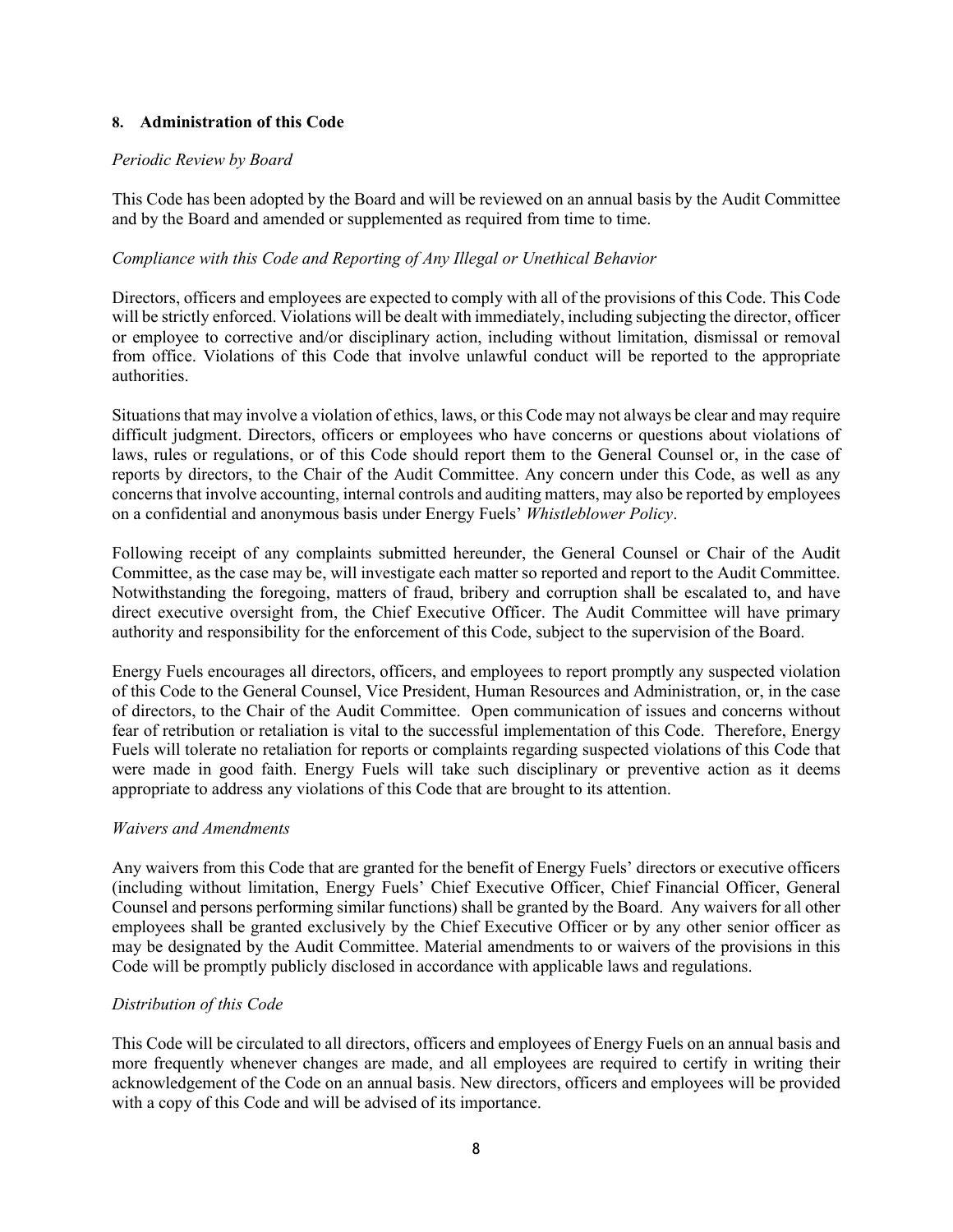### **8. Administration of this Code**

#### *Periodic Review by Board*

This Code has been adopted by the Board and will be reviewed on an annual basis by the Audit Committee and by the Board and amended or supplemented as required from time to time.

### *Compliance with this Code and Reporting of Any Illegal or Unethical Behavior*

Directors, officers and employees are expected to comply with all of the provisions of this Code. This Code will be strictly enforced. Violations will be dealt with immediately, including subjecting the director, officer or employee to corrective and/or disciplinary action, including without limitation, dismissal or removal from office. Violations of this Code that involve unlawful conduct will be reported to the appropriate authorities.

Situations that may involve a violation of ethics, laws, or this Code may not always be clear and may require difficult judgment. Directors, officers or employees who have concerns or questions about violations of laws, rules or regulations, or of this Code should report them to the General Counsel or, in the case of reports by directors, to the Chair of the Audit Committee. Any concern under this Code, as well as any concerns that involve accounting, internal controls and auditing matters, may also be reported by employees on a confidential and anonymous basis under Energy Fuels' *Whistleblower Policy*.

Following receipt of any complaints submitted hereunder, the General Counsel or Chair of the Audit Committee, as the case may be, will investigate each matter so reported and report to the Audit Committee. Notwithstanding the foregoing, matters of fraud, bribery and corruption shall be escalated to, and have direct executive oversight from, the Chief Executive Officer. The Audit Committee will have primary authority and responsibility for the enforcement of this Code, subject to the supervision of the Board.

Energy Fuels encourages all directors, officers, and employees to report promptly any suspected violation of this Code to the General Counsel, Vice President, Human Resources and Administration, or, in the case of directors, to the Chair of the Audit Committee. Open communication of issues and concerns without fear of retribution or retaliation is vital to the successful implementation of this Code. Therefore, Energy Fuels will tolerate no retaliation for reports or complaints regarding suspected violations of this Code that were made in good faith. Energy Fuels will take such disciplinary or preventive action as it deems appropriate to address any violations of this Code that are brought to its attention.

#### *Waivers and Amendments*

Any waivers from this Code that are granted for the benefit of Energy Fuels' directors or executive officers (including without limitation, Energy Fuels' Chief Executive Officer, Chief Financial Officer, General Counsel and persons performing similar functions) shall be granted by the Board. Any waivers for all other employees shall be granted exclusively by the Chief Executive Officer or by any other senior officer as may be designated by the Audit Committee. Material amendments to or waivers of the provisions in this Code will be promptly publicly disclosed in accordance with applicable laws and regulations.

### *Distribution of this Code*

This Code will be circulated to all directors, officers and employees of Energy Fuels on an annual basis and more frequently whenever changes are made, and all employees are required to certify in writing their acknowledgement of the Code on an annual basis. New directors, officers and employees will be provided with a copy of this Code and will be advised of its importance.